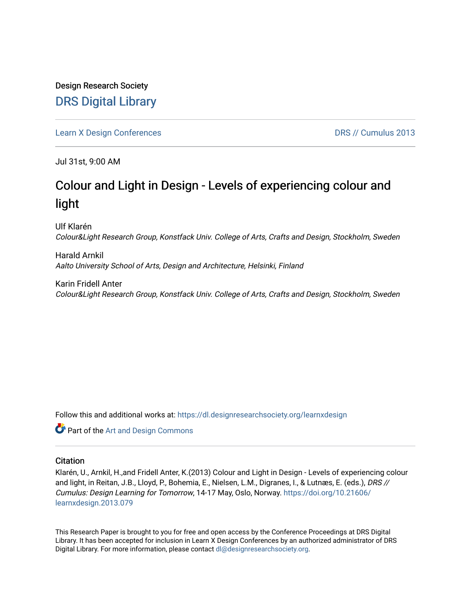Design Research Society [DRS Digital Library](https://dl.designresearchsociety.org/)

[Learn X Design Conferences](https://dl.designresearchsociety.org/learnxdesign) **DRS // Cumulus 2013** 

Jul 31st, 9:00 AM

# Colour and Light in Design - Levels of experiencing colour and light

Ulf Klarén Colour&Light Research Group, Konstfack Univ. College of Arts, Crafts and Design, Stockholm, Sweden

Harald Arnkil Aalto University School of Arts, Design and Architecture, Helsinki, Finland

Karin Fridell Anter Colour&Light Research Group, Konstfack Univ. College of Arts, Crafts and Design, Stockholm, Sweden

Follow this and additional works at: [https://dl.designresearchsociety.org/learnxdesign](https://dl.designresearchsociety.org/learnxdesign?utm_source=dl.designresearchsociety.org%2Flearnxdesign%2Flearnxdesign2013%2Fresearchpapers%2F78&utm_medium=PDF&utm_campaign=PDFCoverPages)

Part of the [Art and Design Commons](http://network.bepress.com/hgg/discipline/1049?utm_source=dl.designresearchsociety.org%2Flearnxdesign%2Flearnxdesign2013%2Fresearchpapers%2F78&utm_medium=PDF&utm_campaign=PDFCoverPages)

#### **Citation**

Klarén, U., Arnkil, H.,and Fridell Anter, K.(2013) Colour and Light in Design - Levels of experiencing colour and light, in Reitan, J.B., Lloyd, P., Bohemia, E., Nielsen, L.M., Digranes, I., & Lutnæs, E. (eds.), DRS // Cumulus: Design Learning for Tomorrow, 14-17 May, Oslo, Norway. [https://doi.org/10.21606/](https://doi.org/10.21606/learnxdesign.2013.079) [learnxdesign.2013.079](https://doi.org/10.21606/learnxdesign.2013.079)

This Research Paper is brought to you for free and open access by the Conference Proceedings at DRS Digital Library. It has been accepted for inclusion in Learn X Design Conferences by an authorized administrator of DRS Digital Library. For more information, please contact [dl@designresearchsociety.org](mailto:dl@designresearchsociety.org).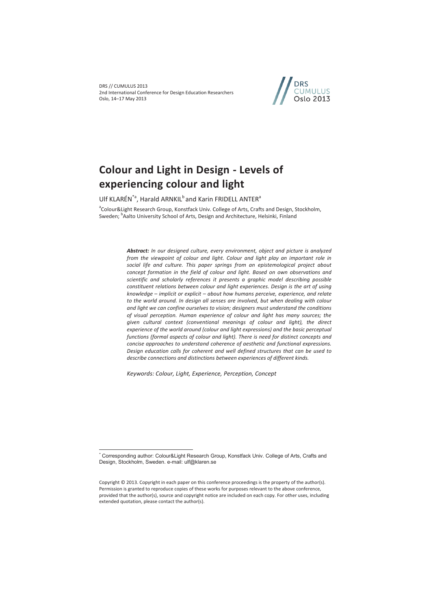DRS // CUMULUS 2013 2nd International Conference for Design Education Researchers Oslo, 14–17 May 2013



## **Colour and Light in Design - Levels of experiencing colour and light**

Ulf KLARÉN<sup>\*a</sup>, Harald ARNKIL<sup>b</sup> and Karin FRIDELL ANTER<sup>a</sup>

<sup>a</sup>Colour&Light Research Group, Konstfack Univ. College of Arts, Crafts and Design, Stockholm, Sweden; <sup>b</sup>Aalto University School of Arts, Design and Architecture, Helsinki, Finland

> *Abstract: In our designed culture, every environment, object and picture is analyzed from the viewpoint of colour and light. Colour and light play an important role in social life and culture. This paper springs from an epistemological project about concept formation in the field of colour and light. Based on own observations and scientific and scholarly references it presents a graphic model describing possible constituent relations between colour and light experiences. Design is the art of using knowledge – implicit or explicit – about how humans perceive, experience, and relate to the world around. In design all senses are involved, but when dealing with colour and light we can confine ourselves to vision; designers must understand the conditions of visual perception. Human experience of colour and light has many sources; the given cultural context (conventional meanings of colour and light), the direct experience of the world around (colour and light expressions) and the basic perceptual functions (formal aspects of colour and light). There is need for distinct concepts and concise approaches to understand coherence of aesthetic and functional expressions. Design education calls for coherent and well defined structures that can be used to describe connections and distinctions between experiences of different kinds.*

*Keywords: Colour, Light, Experience, Perception, Concept* 

 $\overline{a}$ 

<sup>\*</sup> Corresponding author: Colour&Light Research Group, Konstfack Univ. College of Arts, Crafts and Design, Stockholm, Sweden. e-mail: ulf@klaren.se

Copyright © 2013. Copyright in each paper on this conference proceedings is the property of the author(s). Permission is granted to reproduce copies of these works for purposes relevant to the above conference, provided that the author(s), source and copyright notice are included on each copy. For other uses, including extended quotation, please contact the author(s).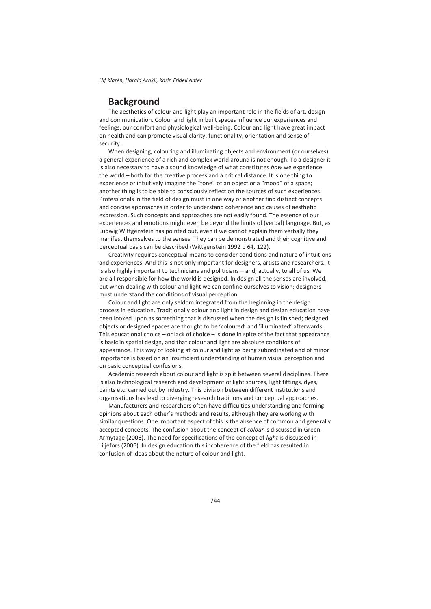## **Background**

The aesthetics of colour and light play an important role in the fields of art, design and communication. Colour and light in built spaces influence our experiences and feelings, our comfort and physiological well-being. Colour and light have great impact on health and can promote visual clarity, functionality, orientation and sense of security.

When designing, colouring and illuminating objects and environment (or ourselves) a general experience of a rich and complex world around is not enough. To a designer it is also necessary to have a sound knowledge of what constitutes *how* we experience the world – both for the creative process and a critical distance. It is one thing to experience or intuitively imagine the "tone" of an object or a "mood" of a space; another thing is to be able to consciously reflect on the sources of such experiences. Professionals in the field of design must in one way or another find distinct concepts and concise approaches in order to understand coherence and causes of aesthetic expression. Such concepts and approaches are not easily found. The essence of our experiences and emotions might even be beyond the limits of (verbal) language. But, as Ludwig Wittgenstein has pointed out, even if we cannot explain them verbally they manifest themselves to the senses. They can be demonstrated and their cognitive and perceptual basis can be described (Wittgenstein 1992 p 64, 122).

Creativity requires conceptual means to consider conditions and nature of intuitions and experiences. And this is not only important for designers, artists and researchers. It is also highly important to technicians and politicians – and, actually, to all of us. We are all responsible for how the world is designed. In design all the senses are involved, but when dealing with colour and light we can confine ourselves to vision; designers must understand the conditions of visual perception.

Colour and light are only seldom integrated from the beginning in the design process in education. Traditionally colour and light in design and design education have been looked upon as something that is discussed when the design is finished; designed objects or designed spaces are thought to be 'coloured' and 'illuminated' afterwards. This educational choice – or lack of choice – is done in spite of the fact that appearance is basic in spatial design, and that colour and light are absolute conditions of appearance. This way of looking at colour and light as being subordinated and of minor importance is based on an insufficient understanding of human visual perception and on basic conceptual confusions.

Academic research about colour and light is split between several disciplines. There is also technological research and development of light sources, light fittings, dyes, paints etc. carried out by industry. This division between different institutions and organisations has lead to diverging research traditions and conceptual approaches.

Manufacturers and researchers often have difficulties understanding and forming opinions about each other's methods and results, although they are working with similar questions. One important aspect of this is the absence of common and generally accepted concepts. The confusion about the concept of *colour* is discussed in Green-Armytage (2006). The need for specifications of the concept of *light* is discussed in Liljefors (2006). In design education this incoherence of the field has resulted in confusion of ideas about the nature of colour and light.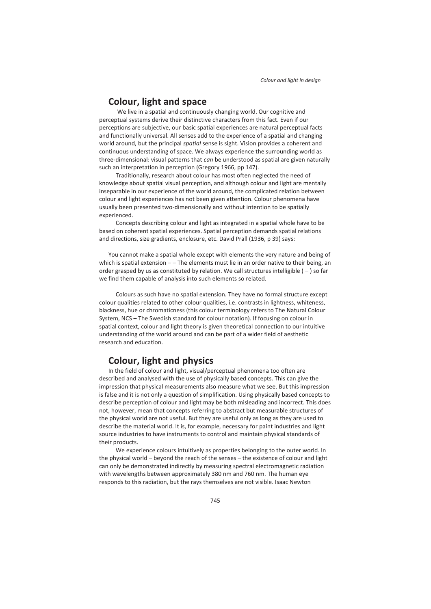### **Colour, light and space**

We live in a spatial and continuously changing world. Our cognitive and perceptual systems derive their distinctive characters from this fact. Even if our perceptions are subjective, our basic spatial experiences are natural perceptual facts and functionally universal. All senses add to the experience of a spatial and changing world around, but the principal *spatial* sense is sight. Vision provides a coherent and continuous understanding of space. We always experience the surrounding world as three-dimensional: visual patterns that *can* be understood as spatial are given naturally such an interpretation in perception (Gregory 1966, pp 147).

 Traditionally, research about colour has most often neglected the need of knowledge about spatial visual perception, and although colour and light are mentally inseparable in our experience of the world around, the complicated relation between colour and light experiences has not been given attention. Colour phenomena have usually been presented two-dimensionally and without intention to be spatially experienced.

 Concepts describing colour and light as integrated in a spatial whole have to be based on coherent spatial experiences. Spatial perception demands spatial relations and directions, size gradients, enclosure, etc. David Prall (1936, p 39) says:

You cannot make a spatial whole except with elements the very nature and being of which is spatial extension  $-\frac{1}{n}$  The elements must lie in an order native to their being, an order grasped by us as constituted by relation. We call structures intelligible  $(-)$  so far we find them capable of analysis into such elements so related.

 Colours as such have no spatial extension. They have no formal structure except colour qualities related to other colour qualities, i.e. contrasts in lightness, whiteness, blackness, hue or chromaticness (this colour terminology refers to The Natural Colour System, NCS – The Swedish standard for colour notation). If focusing on colour in spatial context, colour and light theory is given theoretical connection to our intuitive understanding of the world around and can be part of a wider field of aesthetic research and education.

## **Colour, light and physics**

In the field of colour and light, visual/perceptual phenomena too often are described and analysed with the use of physically based concepts. This can give the impression that physical measurements also measure what we see. But this impression is false and it is not only a question of simplification. Using physically based concepts to describe perception of colour and light may be both misleading and incorrect. This does not, however, mean that concepts referring to abstract but measurable structures of the physical world are not useful. But they are useful only as long as they are used to describe the material world. It is, for example, necessary for paint industries and light source industries to have instruments to control and maintain physical standards of their products.

 We experience colours intuitively as properties belonging to the outer world. In the physical world – beyond the reach of the senses – the existence of colour and light can only be demonstrated indirectly by measuring spectral electromagnetic radiation with wavelengths between approximately 380 nm and 760 nm. The human eye responds to this radiation, but the rays themselves are not visible. Isaac Newton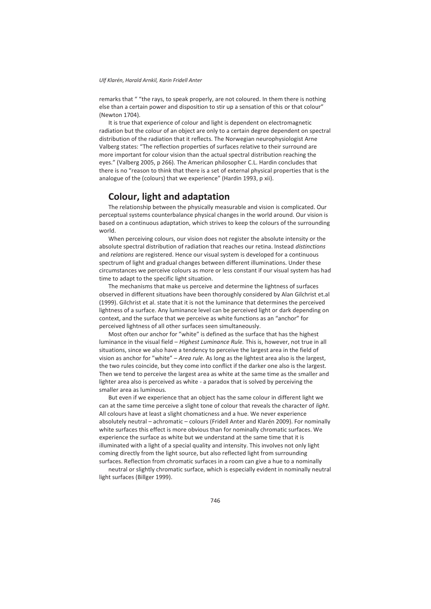remarks that " "the rays, to speak properly, are not coloured. In them there is nothing else than a certain power and disposition to stir up a sensation of this or that colour" (Newton 1704).

It is true that experience of colour and light is dependent on electromagnetic radiation but the colour of an object are only to a certain degree dependent on spectral distribution of the radiation that it reflects. The Norwegian neurophysiologist Arne Valberg states: "The reflection properties of surfaces relative to their surround are more important for colour vision than the actual spectral distribution reaching the eyes." (Valberg 2005, p 266). The American philosopher C.L. Hardin concludes that there is no "reason to think that there is a set of external physical properties that is the analogue of the (colours) that we experience" (Hardin 1993, p xii).

## **Colour, light and adaptation**

The relationship between the physically measurable and vision is complicated. Our perceptual systems counterbalance physical changes in the world around. Our vision is based on a continuous adaptation, which strives to keep the colours of the surrounding world.

When perceiving colours, our vision does not register the absolute intensity or the absolute spectral distribution of radiation that reaches our retina. Instead *distinctions*  and *relations* are registered. Hence our visual system is developed for a continuous spectrum of light and gradual changes between different illuminations. Under these circumstances we perceive colours as more or less constant if our visual system has had time to adapt to the specific light situation.

The mechanisms that make us perceive and determine the lightness of surfaces observed in different situations have been thoroughly considered by Alan Gilchrist et.al (1999). Gilchrist et al. state that it is not the luminance that determines the perceived lightness of a surface. Any luminance level can be perceived light or dark depending on context, and the surface that we perceive as white functions as an "anchor" for perceived lightness of all other surfaces seen simultaneously.

Most often our anchor for "white" is defined as the surface that has the highest luminance in the visual field – *Highest Luminance Rule.* This is, however, not true in all situations, since we also have a tendency to perceive the largest area in the field of vision as anchor for "white" – *Area rule.* As long as the lightest area also is the largest, the two rules coincide, but they come into conflict if the darker one also is the largest. Then we tend to perceive the largest area as white at the same time as the smaller and lighter area also is perceived as white - a paradox that is solved by perceiving the smaller area as luminous.

But even if we experience that an object has the same colour in different light we can at the same time perceive a slight tone of colour that reveals the character of *light*. All colours have at least a slight chomaticness and a hue. We never experience absolutely neutral – achromatic – colours (Fridell Anter and Klarén 2009). For nominally white surfaces this effect is more obvious than for nominally chromatic surfaces. We experience the surface as white but we understand at the same time that it is illuminated with a light of a special quality and intensity. This involves not only light coming directly from the light source, but also reflected light from surrounding surfaces. Reflection from chromatic surfaces in a room can give a hue to a nominally

neutral or slightly chromatic surface, which is especially evident in nominally neutral light surfaces (Billger 1999).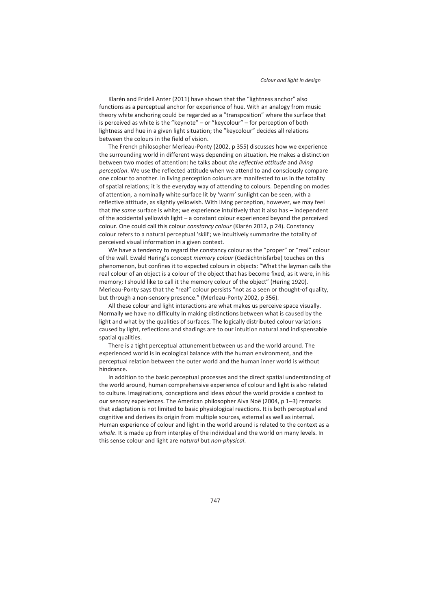Klarén and Fridell Anter (2011) have shown that the "lightness anchor" also functions as a perceptual anchor for experience of hue. With an analogy from music theory white anchoring could be regarded as a "transposition" where the surface that is perceived as white is the "keynote" – or "keycolour" – for perception of both lightness and hue in a given light situation; the "keycolour" decides all relations between the colours in the field of vision.

The French philosopher Merleau-Ponty (2002, p 355) discusses how we experience the surrounding world in different ways depending on situation. He makes a distinction between two modes of attention: he talks about *the reflective attitude* and *living perception*. We use the reflected attitude when we attend to and consciously compare one colour to another. In living perception colours are manifested to us in the totality of spatial relations; it is the everyday way of attending to colours. Depending on modes of attention*,* a nominally white surface lit by 'warm' sunlight can be seen, with a reflective attitude, as slightly yellowish. With living perception, however, we may feel that *the same* surface is white; we experience intuitively that it also has – independent of the accidental yellowish light – a constant colour experienced beyond the perceived colour. One could call this colour *constancy colour* (Klarén 2012, p 24). Constancy colour refers to a natural perceptual 'skill'; we intuitively summarize the totality of perceived visual information in a given context.

We have a tendency to regard the constancy colour as the "proper" or "real" colour of the wall. Ewald Hering's concept *memory colour* (Gedächtnisfarbe) touches on this phenomenon, but confines it to expected colours in objects: "What the layman calls the real colour of an object is a colour of the object that has become fixed, as it were, in his memory; I should like to call it the memory colour of the object" (Hering 1920). Merleau-Ponty says that the "real" colour persists "not as a seen or thought-of quality, but through a non-sensory presence." (Merleau-Ponty 2002, p 356).

All these colour and light interactions are what makes us perceive space visually. Normally we have no difficulty in making distinctions between what is caused by the light and what by the qualities of surfaces. The logically distributed colour variations caused by light, reflections and shadings are to our intuition natural and indispensable spatial qualities.

There is a tight perceptual attunement between us and the world around. The experienced world is in ecological balance with the human environment, and the perceptual relation between the outer world and the human inner world is without hindrance.

In addition to the basic perceptual processes and the direct spatial understanding of the world around, human comprehensive experience of colour and light is also related to culture. Imaginations, conceptions and ideas *about* the world provide a context to our sensory experiences. The American philosopher Alva Noë (2004, p 1–3) remarks that adaptation is not limited to basic physiological reactions. It is both perceptual and cognitive and derives its origin from multiple sources, external as well as internal. Human experience of colour and light in the world around is related to the context as a *whole*. It is made up from interplay of the individual and the world on many levels. In this sense colour and light are *natural* but *non-physical*.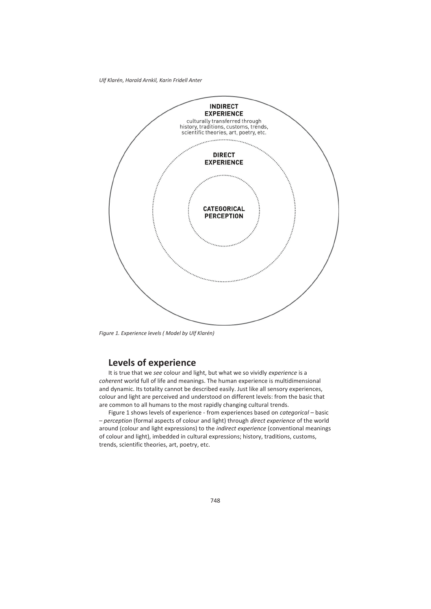

*Figure 1. Experience levels ( Model by Ulf Klarén)* 

## **Levels of experience**

It is true that we *see* colour and light, but what we so vividly *experience* is a *coherent* world full of life and meanings. The human experience is multidimensional and dynamic. Its totality cannot be described easily. Just like all sensory experiences, colour and light are perceived and understood on different levels: from the basic that are common to all humans to the most rapidly changing cultural trends.

Figure 1 shows levels of experience - from experiences based on *categorical* – basic – *perception* (formal aspects of colour and light) through *direct experience* of the world around (colour and light expressions) to the *indirect experience* (conventional meanings of colour and light), imbedded in cultural expressions; history, traditions, customs, trends, scientific theories, art, poetry, etc.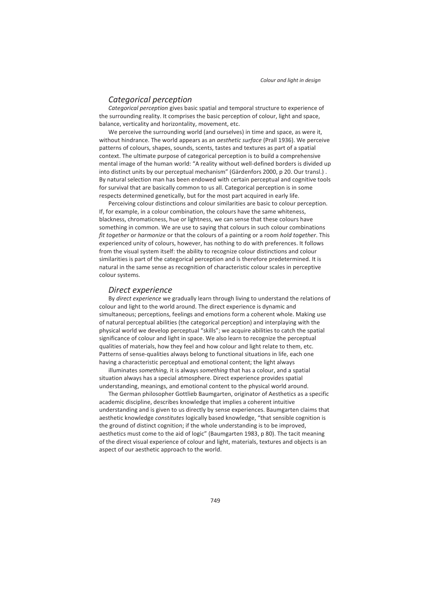#### *Categorical perception*

*Categorical perception* gives basic spatial and temporal structure to experience of the surrounding reality. It comprises the basic perception of colour, light and space, balance, verticality and horizontality, movement, etc.

We perceive the surrounding world (and ourselves) in time and space, as were it, without hindrance. The world appears as an *aesthetic surface* (Prall 1936). We perceive patterns of colours, shapes, sounds, scents, tastes and textures as part of a spatial context. The ultimate purpose of categorical perception is to build a comprehensive mental image of the human world: "A reality without well-defined borders is divided up into distinct units by our perceptual mechanism" (Gärdenfors 2000, p 20. Our transl.) . By natural selection man has been endowed with certain perceptual and cognitive tools for survival that are basically common to us all. Categorical perception is in some respects determined genetically, but for the most part acquired in early life.

Perceiving colour distinctions and colour similarities are basic to colour perception. If, for example, in a colour combination, the colours have the same whiteness, blackness, chromaticness, hue or lightness, we can sense that these colours have something in common. We are use to saying that colours in such colour combinations *fit together* or *harmonize* or that the colours of a painting or a room *hold together*. This experienced unity of colours, however, has nothing to do with preferences. It follows from the visual system itself: the ability to recognize colour distinctions and colour similarities is part of the categorical perception and is therefore predetermined. It is natural in the same sense as recognition of characteristic colour scales in perceptive colour systems.

#### *Direct experience*

By *direct experience* we gradually learn through living to understand the relations of colour and light to the world around. The direct experience is dynamic and simultaneous; perceptions, feelings and emotions form a coherent whole. Making use of natural perceptual abilities (the categorical perception) and interplaying with the physical world we develop perceptual "skills"; we acquire abilities to catch the spatial significance of colour and light in space. We also learn to recognize the perceptual qualities of materials, how they feel and how colour and light relate to them, etc. Patterns of sense-qualities always belong to functional situations in life, each one having a characteristic perceptual and emotional content; the light always

illuminates *something,* it is always *something* that has a colour, and a spatial situation always has a special atmosphere. Direct experience provides spatial understanding, meanings, and emotional content to the physical world around.

The German philosopher Gottlieb Baumgarten, originator of Aesthetics as a specific academic discipline, describes knowledge that implies a coherent intuitive understanding and is given to us directly by sense experiences. Baumgarten claims that aesthetic knowledge *constitutes* logically based knowledge, "that sensible cognition is the ground of distinct cognition; if the whole understanding is to be improved, aesthetics must come to the aid of logic" (Baumgarten 1983, p 80). The tacit meaning of the direct visual experience of colour and light, materials, textures and objects is an aspect of our aesthetic approach to the world.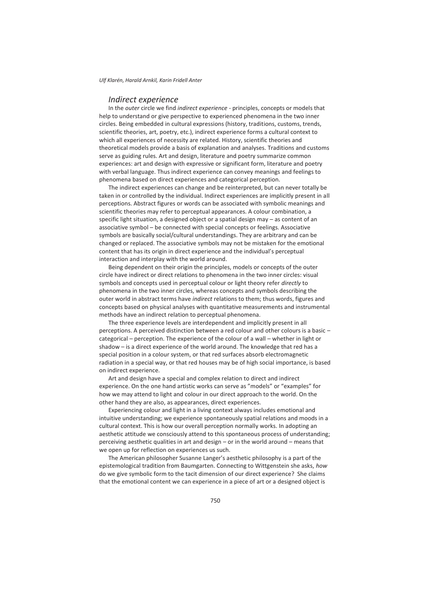#### *Indirect experience*

In the *outer* circle we find *indirect experience -* principles, concepts or models that help to understand or give perspective to experienced phenomena in the two inner circles. Being embedded in cultural expressions (history, traditions, customs, trends, scientific theories, art, poetry, etc.), indirect experience forms a cultural context to which all experiences of necessity are related. History, scientific theories and theoretical models provide a basis of explanation and analyses. Traditions and customs serve as guiding rules. Art and design, literature and poetry summarize common experiences: art and design with expressive or significant form, literature and poetry with verbal language. Thus indirect experience can convey meanings and feelings to phenomena based on direct experiences and categorical perception.

The indirect experiences can change and be reinterpreted, but can never totally be taken in or controlled by the individual. Indirect experiences are implicitly present in all perceptions. Abstract figures or words can be associated with symbolic meanings and scientific theories may refer to perceptual appearances. A colour combination, a specific light situation, a designed object or a spatial design may – as content of an associative symbol – be connected with special concepts or feelings. Associative symbols are basically social/cultural understandings. They are arbitrary and can be changed or replaced. The associative symbols may not be mistaken for the emotional content that has its origin in direct experience and the individual's perceptual interaction and interplay with the world around.

Being dependent on their origin the principles, models or concepts of the outer circle have indirect or direct relations to phenomena in the two inner circles: visual symbols and concepts used in perceptual colour or light theory refer *directly* to phenomena in the two inner circles, whereas concepts and symbols describing the outer world in abstract terms have *indirect* relations to them; thus words, figures and concepts based on physical analyses with quantitative measurements and instrumental methods have an indirect relation to perceptual phenomena.

The three experience levels are interdependent and implicitly present in all perceptions. A perceived distinction between a red colour and other colours is a basic – categorical – perception. The experience of the colour of a wall – whether in light or shadow – is a direct experience of the world around. The knowledge that red has a special position in a colour system, or that red surfaces absorb electromagnetic radiation in a special way, or that red houses may be of high social importance, is based on indirect experience.

Art and design have a special and complex relation to direct and indirect experience. On the one hand artistic works can serve as "models" or "examples" for how we may attend to light and colour in our direct approach to the world. On the other hand they are also, as appearances, direct experiences.

Experiencing colour and light in a living context always includes emotional and intuitive understanding; we experience spontaneously spatial relations and moods in a cultural context. This is how our overall perception normally works. In adopting an aesthetic attitude we consciously attend to this spontaneous process of understanding; perceiving aesthetic qualities in art and design – or in the world around – means that we open up for reflection on experiences us such.

The American philosopher Susanne Langer's aesthetic philosophy is a part of the epistemological tradition from Baumgarten. Connecting to Wittgenstein she asks, *how*  do we give symbolic form to the tacit dimension of our direct experience? She claims that the emotional content we can experience in a piece of art or a designed object is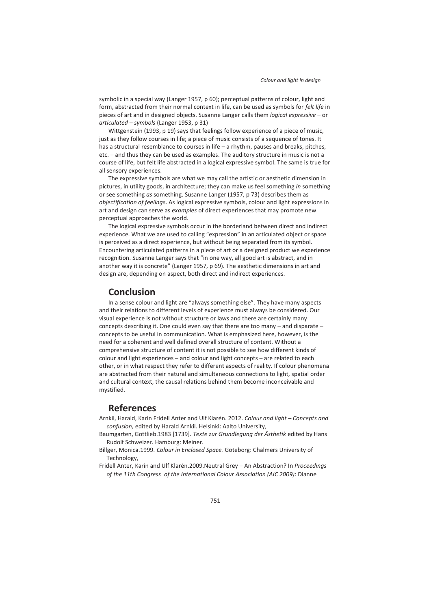symbolic in a special way (Langer 1957, p 60); perceptual patterns of colour, light and form, abstracted from their normal context in life, can be used as symbols for *felt life* in pieces of art and in designed objects. Susanne Langer calls them *logical expressive* – or *articulated* – *symbols* (Langer 1953, p 31)

Wittgenstein (1993, p 19) says that feelings follow experience of a piece of music, just as they follow courses in life; a piece of music consists of a sequence of tones. It has a structural resemblance to courses in life – a rhythm, pauses and breaks, pitches, etc. – and thus they can be used as examples. The auditory structure in music is not a course of life, but felt life abstracted in a logical expressive symbol. The same is true for all sensory experiences.

The expressive symbols are what we may call the artistic or aesthetic dimension in pictures, in utility goods, in architecture; they can make us feel something *in* something or see something *as* something. Susanne Langer (1957, p 73) describes them as *objectification of feeling*s. As logical expressive symbols, colour and light expressions in art and design can serve as *examples* of direct experiences that may promote new perceptual approaches the world.

The logical expressive symbols occur in the borderland between direct and indirect experience. What we are used to calling "expression" in an articulated object or space is perceived as a direct experience, but without being separated from its symbol. Encountering articulated patterns in a piece of art or a designed product we experience recognition. Susanne Langer says that "in one way, all good art is abstract, and in another way it is concrete" (Langer 1957, p 69). The aesthetic dimensions in art and design are, depending on aspect, both direct and indirect experiences.

#### **Conclusion**

In a sense colour and light are "always something else". They have many aspects and their relations to different levels of experience must always be considered. Our visual experience is not without structure or laws and there are certainly many concepts describing it. One could even say that there are too many – and disparate – concepts to be useful in communication. What is emphasized here, however, is the need for a coherent and well defined overall structure of content. Without a comprehensive structure of content it is not possible to see how different kinds of colour and light experiences – and colour and light concepts – are related to each other, or in what respect they refer to different aspects of reality. If colour phenomena are abstracted from their natural and simultaneous connections to light, spatial order and cultural context, the causal relations behind them become inconceivable and mystified.

### **References**

- Arnkil, Harald, Karin Fridell Anter and Ulf Klarén. 2012. *Colour and light Concepts and confusion,* edited by Harald Arnkil. Helsinki: Aalto University,
- Baumgarten, Gottlieb.1983 [1739]*. Texte zur Grundlegung der Ästhetik* edited by Hans Rudolf Schweizer. Hamburg: Meiner.
- Billger, Monica.1999. *Colour in Enclosed Space.* Göteborg: Chalmers University of Technology,
- Fridell Anter, Karin and Ulf Klarén.2009.Neutral Grey An Abstraction? In *Proceedings of the 11th Congress of the International Colour Association (AIC 2009)*: Dianne